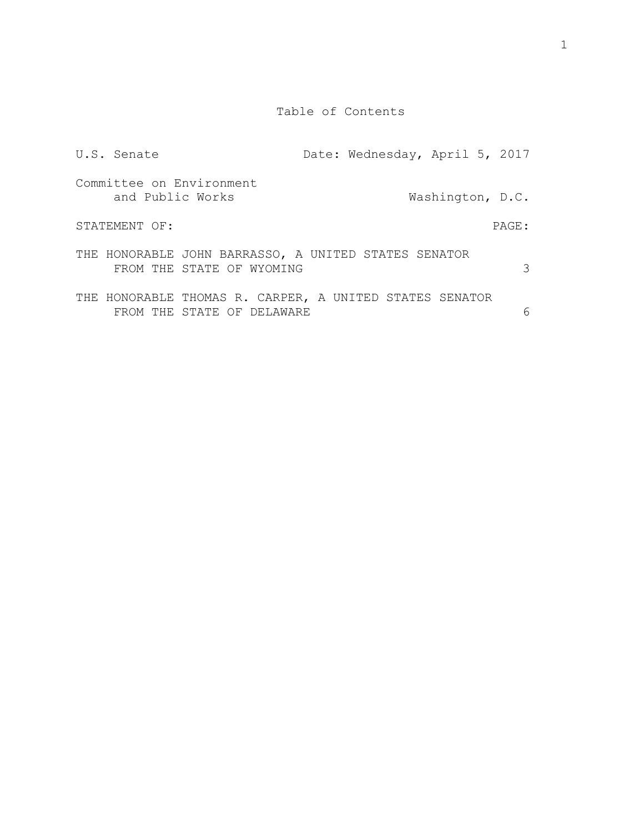Table of Contents

| U.S. Senate      |                                                                                       | Date: Wednesday, April 5, 2017 |                  |       |
|------------------|---------------------------------------------------------------------------------------|--------------------------------|------------------|-------|
| and Public Works | Committee on Environment                                                              |                                | Washington, D.C. |       |
| STATEMENT OF:    |                                                                                       |                                |                  | PAGE: |
|                  | THE HONORABLE JOHN BARRASSO, A UNITED STATES SENATOR<br>FROM THE STATE OF WYOMING     |                                |                  | 3     |
|                  | THE HONORABLE THOMAS R. CARPER, A UNITED STATES SENATOR<br>FROM THE STATE OF DELAWARE |                                |                  | 6     |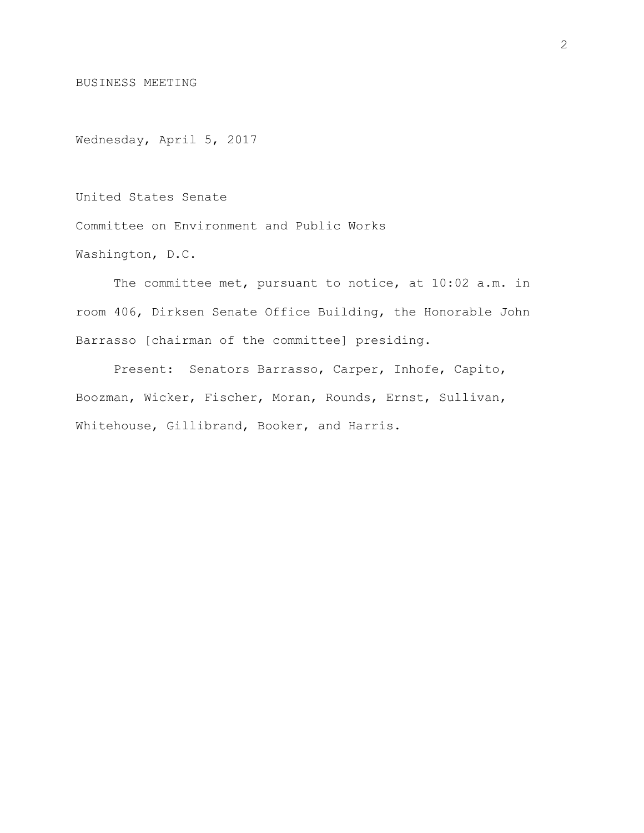BUSINESS MEETING

Wednesday, April 5, 2017

United States Senate

Committee on Environment and Public Works

Washington, D.C.

The committee met, pursuant to notice, at 10:02 a.m. in room 406, Dirksen Senate Office Building, the Honorable John Barrasso [chairman of the committee] presiding.

Present: Senators Barrasso, Carper, Inhofe, Capito, Boozman, Wicker, Fischer, Moran, Rounds, Ernst, Sullivan, Whitehouse, Gillibrand, Booker, and Harris.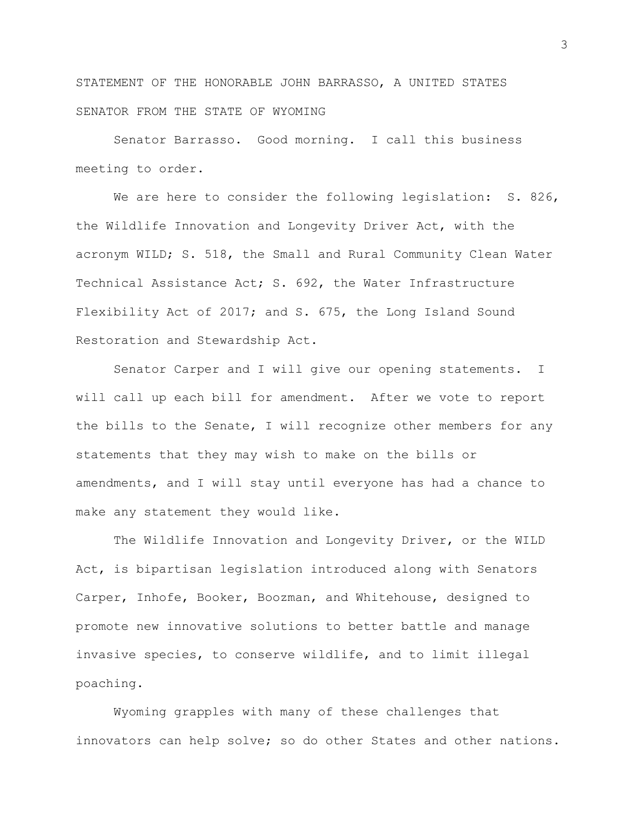STATEMENT OF THE HONORABLE JOHN BARRASSO, A UNITED STATES SENATOR FROM THE STATE OF WYOMING

Senator Barrasso. Good morning. I call this business meeting to order.

We are here to consider the following legislation: S. 826, the Wildlife Innovation and Longevity Driver Act, with the acronym WILD; S. 518, the Small and Rural Community Clean Water Technical Assistance Act; S. 692, the Water Infrastructure Flexibility Act of 2017; and S. 675, the Long Island Sound Restoration and Stewardship Act.

Senator Carper and I will give our opening statements. I will call up each bill for amendment. After we vote to report the bills to the Senate, I will recognize other members for any statements that they may wish to make on the bills or amendments, and I will stay until everyone has had a chance to make any statement they would like.

The Wildlife Innovation and Longevity Driver, or the WILD Act, is bipartisan legislation introduced along with Senators Carper, Inhofe, Booker, Boozman, and Whitehouse, designed to promote new innovative solutions to better battle and manage invasive species, to conserve wildlife, and to limit illegal poaching.

Wyoming grapples with many of these challenges that innovators can help solve; so do other States and other nations.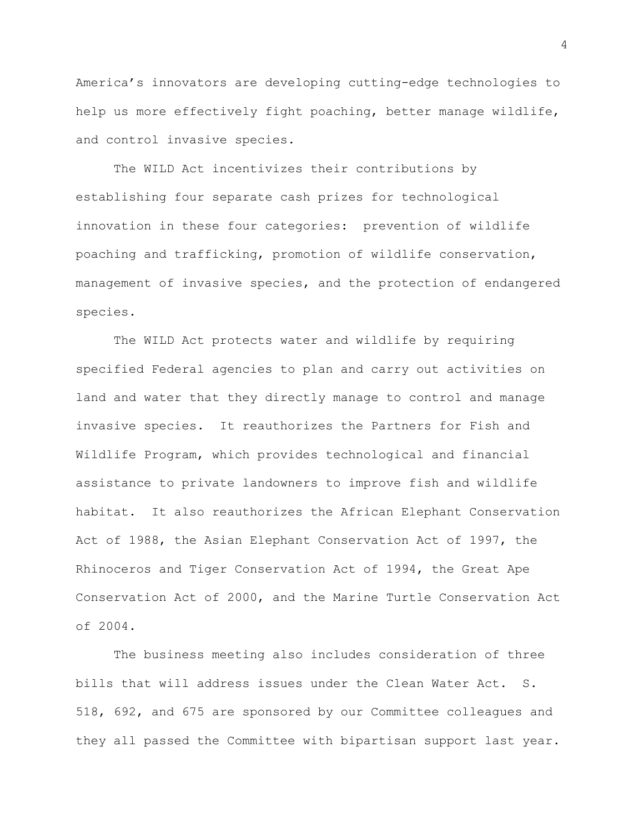America's innovators are developing cutting-edge technologies to help us more effectively fight poaching, better manage wildlife, and control invasive species.

The WILD Act incentivizes their contributions by establishing four separate cash prizes for technological innovation in these four categories: prevention of wildlife poaching and trafficking, promotion of wildlife conservation, management of invasive species, and the protection of endangered species.

The WILD Act protects water and wildlife by requiring specified Federal agencies to plan and carry out activities on land and water that they directly manage to control and manage invasive species. It reauthorizes the Partners for Fish and Wildlife Program, which provides technological and financial assistance to private landowners to improve fish and wildlife habitat. It also reauthorizes the African Elephant Conservation Act of 1988, the Asian Elephant Conservation Act of 1997, the Rhinoceros and Tiger Conservation Act of 1994, the Great Ape Conservation Act of 2000, and the Marine Turtle Conservation Act of 2004.

The business meeting also includes consideration of three bills that will address issues under the Clean Water Act. S. 518, 692, and 675 are sponsored by our Committee colleagues and they all passed the Committee with bipartisan support last year.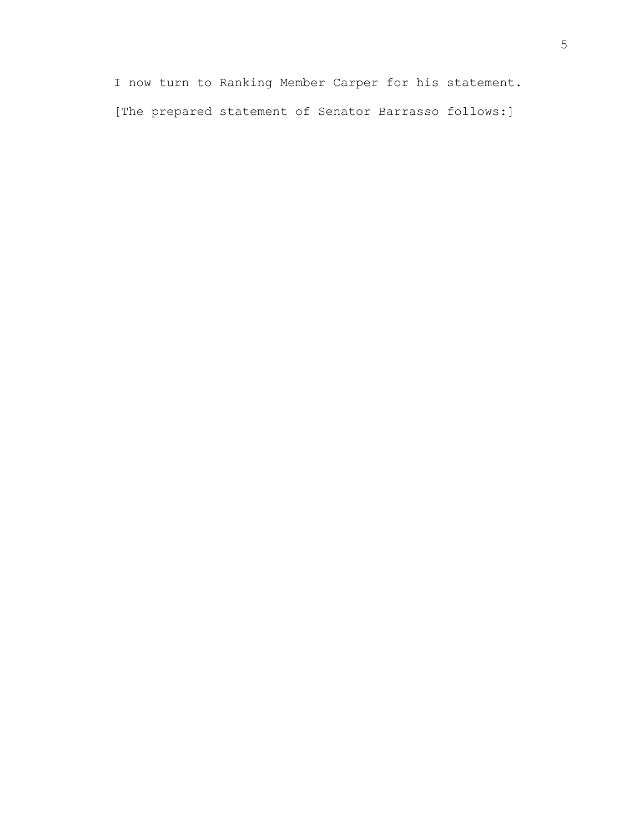I now turn to Ranking Member Carper for his statement. [The prepared statement of Senator Barrasso follows:]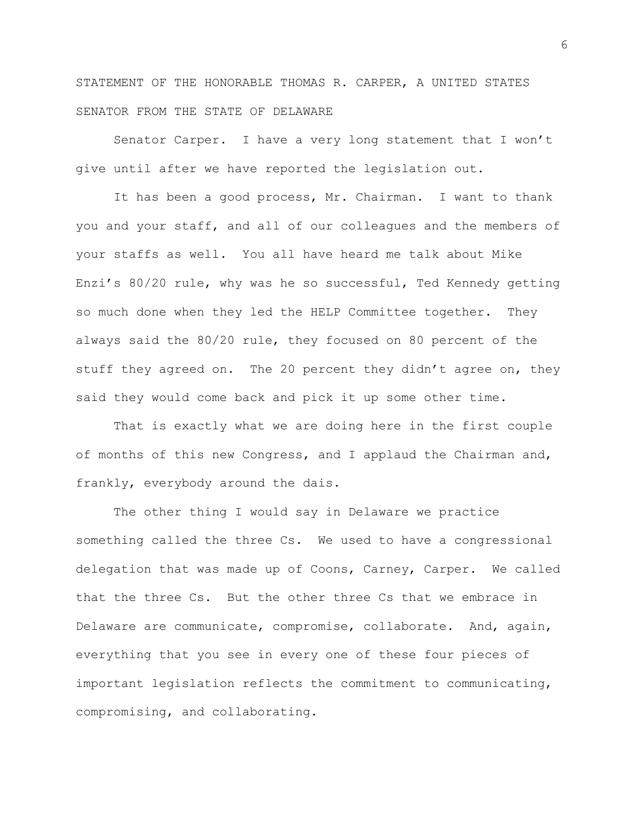STATEMENT OF THE HONORABLE THOMAS R. CARPER, A UNITED STATES SENATOR FROM THE STATE OF DELAWARE

Senator Carper. I have a very long statement that I won't give until after we have reported the legislation out.

It has been a good process, Mr. Chairman. I want to thank you and your staff, and all of our colleagues and the members of your staffs as well. You all have heard me talk about Mike Enzi's 80/20 rule, why was he so successful, Ted Kennedy getting so much done when they led the HELP Committee together. They always said the 80/20 rule, they focused on 80 percent of the stuff they agreed on. The 20 percent they didn't agree on, they said they would come back and pick it up some other time.

That is exactly what we are doing here in the first couple of months of this new Congress, and I applaud the Chairman and, frankly, everybody around the dais.

The other thing I would say in Delaware we practice something called the three Cs. We used to have a congressional delegation that was made up of Coons, Carney, Carper. We called that the three Cs. But the other three Cs that we embrace in Delaware are communicate, compromise, collaborate. And, again, everything that you see in every one of these four pieces of important legislation reflects the commitment to communicating, compromising, and collaborating.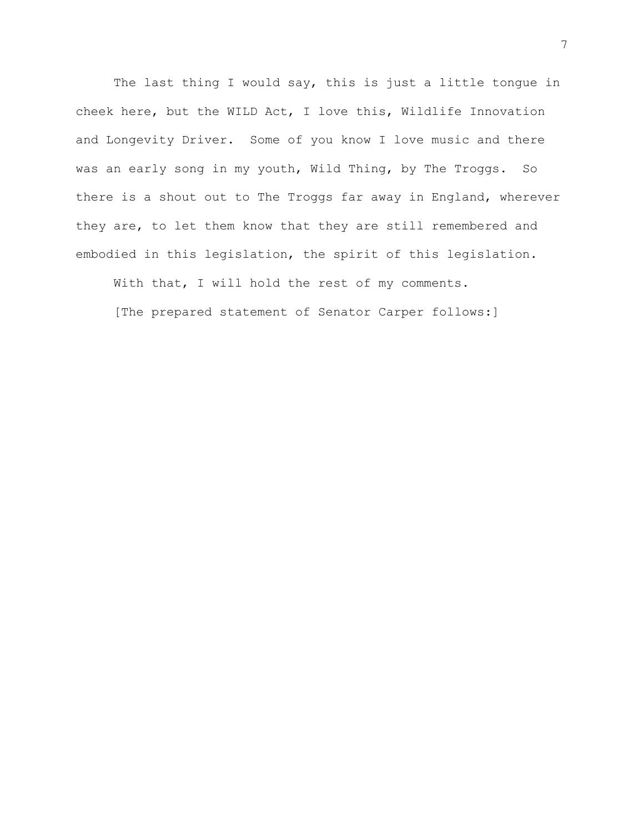The last thing I would say, this is just a little tongue in cheek here, but the WILD Act, I love this, Wildlife Innovation and Longevity Driver. Some of you know I love music and there was an early song in my youth, Wild Thing, by The Troggs. So there is a shout out to The Troggs far away in England, wherever they are, to let them know that they are still remembered and embodied in this legislation, the spirit of this legislation.

With that, I will hold the rest of my comments.

[The prepared statement of Senator Carper follows:]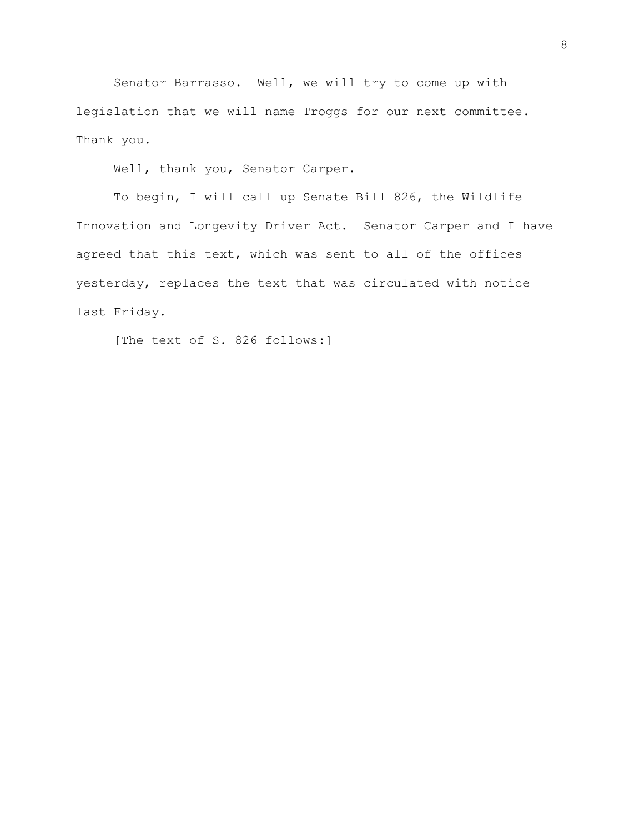Senator Barrasso. Well, we will try to come up with legislation that we will name Troggs for our next committee. Thank you.

Well, thank you, Senator Carper.

To begin, I will call up Senate Bill 826, the Wildlife Innovation and Longevity Driver Act. Senator Carper and I have agreed that this text, which was sent to all of the offices yesterday, replaces the text that was circulated with notice last Friday.

[The text of S. 826 follows:]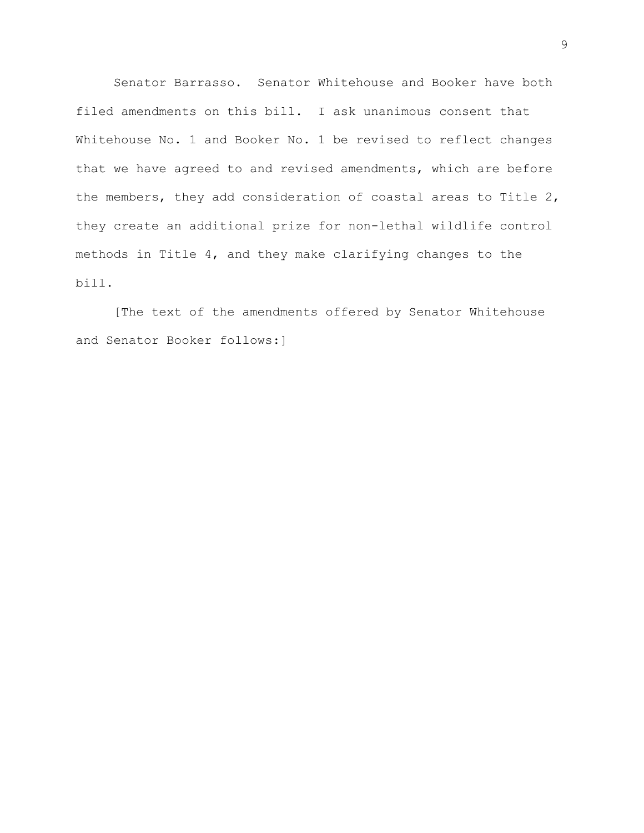Senator Barrasso. Senator Whitehouse and Booker have both filed amendments on this bill. I ask unanimous consent that Whitehouse No. 1 and Booker No. 1 be revised to reflect changes that we have agreed to and revised amendments, which are before the members, they add consideration of coastal areas to Title 2, they create an additional prize for non-lethal wildlife control methods in Title 4, and they make clarifying changes to the bill.

[The text of the amendments offered by Senator Whitehouse and Senator Booker follows:]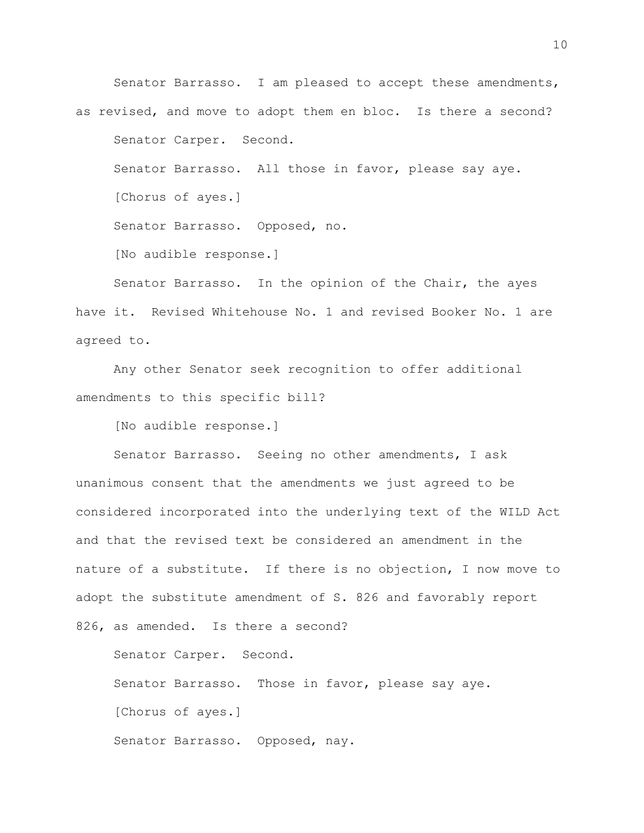Senator Barrasso. I am pleased to accept these amendments, as revised, and move to adopt them en bloc. Is there a second? Senator Carper. Second. Senator Barrasso. All those in favor, please say aye. [Chorus of ayes.] Senator Barrasso. Opposed, no. [No audible response.]

Senator Barrasso. In the opinion of the Chair, the ayes have it. Revised Whitehouse No. 1 and revised Booker No. 1 are agreed to.

Any other Senator seek recognition to offer additional amendments to this specific bill?

[No audible response.]

Senator Barrasso. Seeing no other amendments, I ask unanimous consent that the amendments we just agreed to be considered incorporated into the underlying text of the WILD Act and that the revised text be considered an amendment in the nature of a substitute. If there is no objection, I now move to adopt the substitute amendment of S. 826 and favorably report 826, as amended. Is there a second?

Senator Carper. Second. Senator Barrasso. Those in favor, please say aye. [Chorus of ayes.] Senator Barrasso. Opposed, nay.

10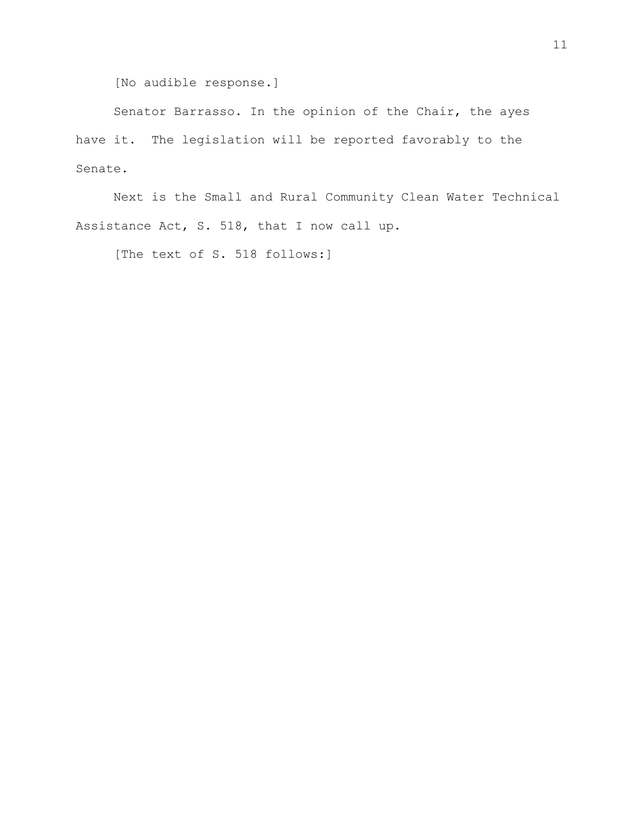[No audible response.]

Senator Barrasso. In the opinion of the Chair, the ayes have it. The legislation will be reported favorably to the Senate.

Next is the Small and Rural Community Clean Water Technical Assistance Act, S. 518, that I now call up.

[The text of S. 518 follows:]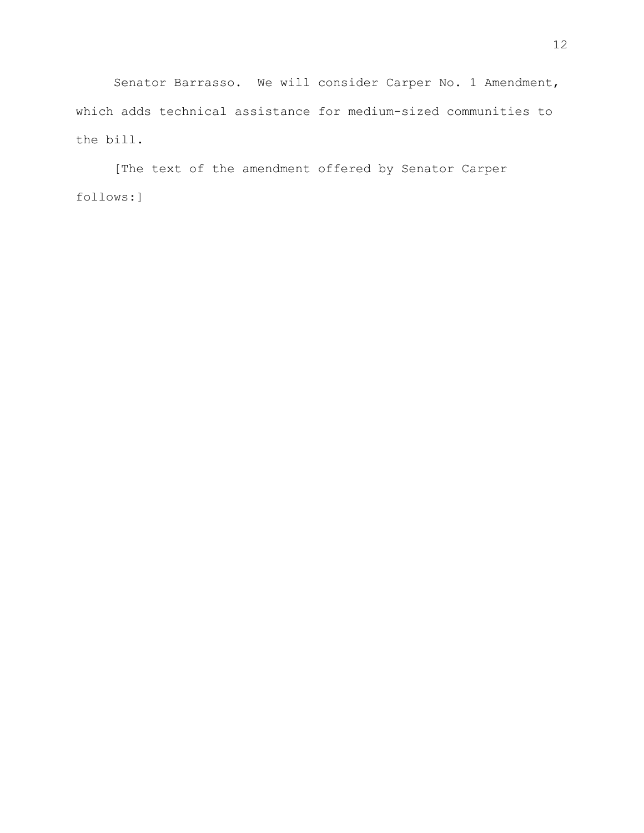Senator Barrasso. We will consider Carper No. 1 Amendment, which adds technical assistance for medium-sized communities to the bill.

[The text of the amendment offered by Senator Carper follows:]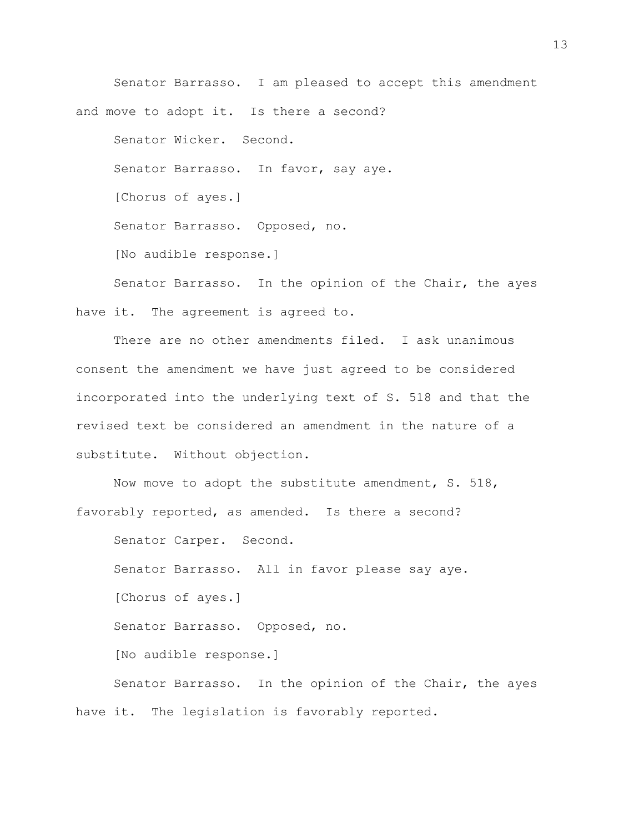Senator Barrasso. I am pleased to accept this amendment and move to adopt it. Is there a second? Senator Wicker. Second. Senator Barrasso. In favor, say aye. [Chorus of ayes.] Senator Barrasso. Opposed, no. [No audible response.]

Senator Barrasso. In the opinion of the Chair, the ayes have it. The agreement is agreed to.

There are no other amendments filed. I ask unanimous consent the amendment we have just agreed to be considered incorporated into the underlying text of S. 518 and that the revised text be considered an amendment in the nature of a substitute. Without objection.

Now move to adopt the substitute amendment, S. 518, favorably reported, as amended. Is there a second?

Senator Carper. Second. Senator Barrasso. All in favor please say aye. [Chorus of ayes.] Senator Barrasso. Opposed, no. [No audible response.] Senator Barrasso. In the opinion of the Chair, the ayes have it. The legislation is favorably reported.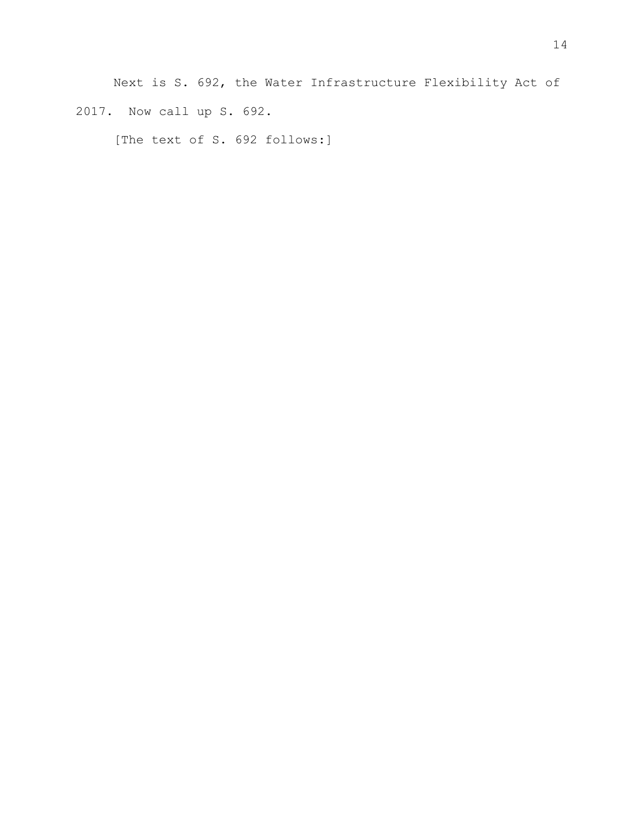Next is S. 692, the Water Infrastructure Flexibility Act of 2017. Now call up S. 692.

[The text of S. 692 follows:]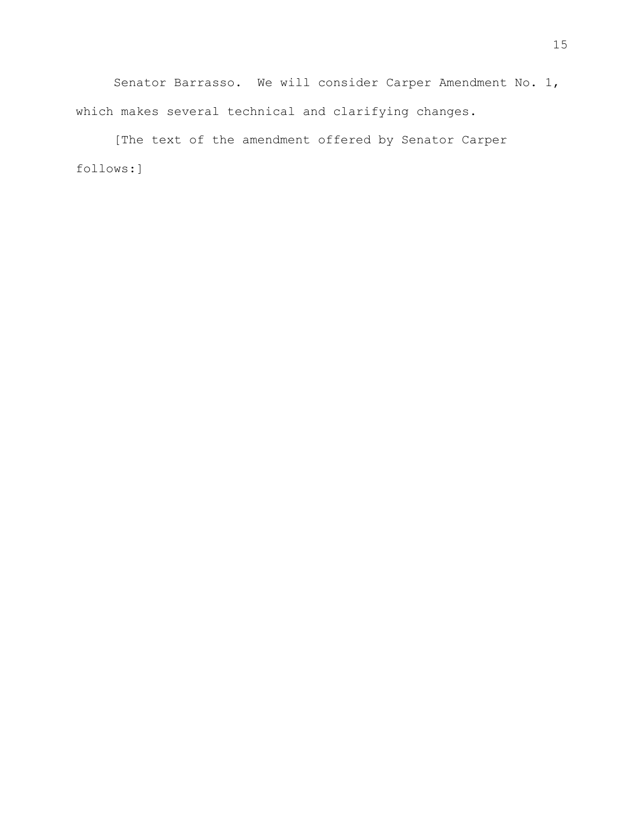Senator Barrasso. We will consider Carper Amendment No. 1, which makes several technical and clarifying changes.

[The text of the amendment offered by Senator Carper follows:]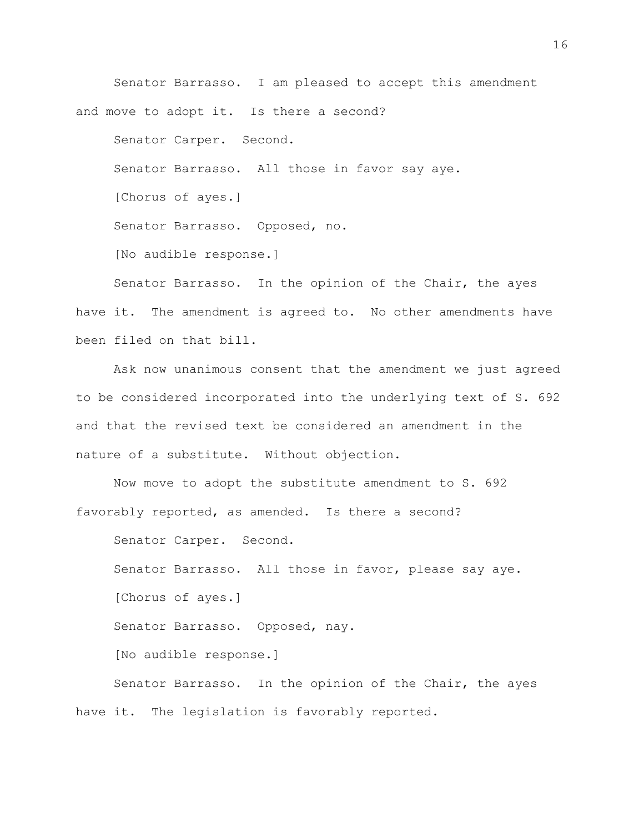Senator Barrasso. I am pleased to accept this amendment and move to adopt it. Is there a second?

Senator Carper. Second.

Senator Barrasso. All those in favor say aye.

[Chorus of ayes.]

Senator Barrasso. Opposed, no.

[No audible response.]

Senator Barrasso. In the opinion of the Chair, the ayes have it. The amendment is agreed to. No other amendments have been filed on that bill.

Ask now unanimous consent that the amendment we just agreed to be considered incorporated into the underlying text of S. 692 and that the revised text be considered an amendment in the nature of a substitute. Without objection.

Now move to adopt the substitute amendment to S. 692 favorably reported, as amended. Is there a second?

Senator Carper. Second. Senator Barrasso. All those in favor, please say aye. [Chorus of ayes.] Senator Barrasso. Opposed, nay. [No audible response.] Senator Barrasso. In the opinion of the Chair, the ayes have it. The legislation is favorably reported.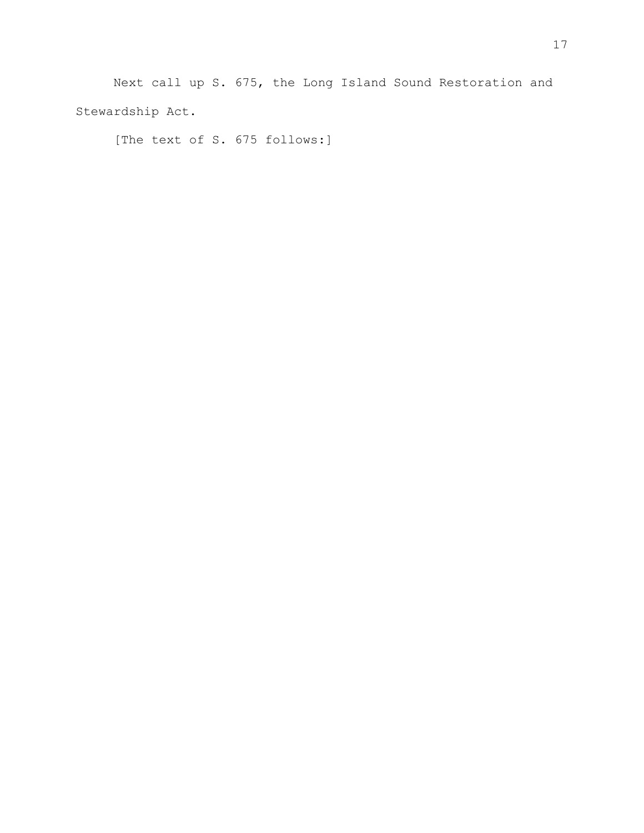Next call up S. 675, the Long Island Sound Restoration and Stewardship Act.

[The text of S. 675 follows:]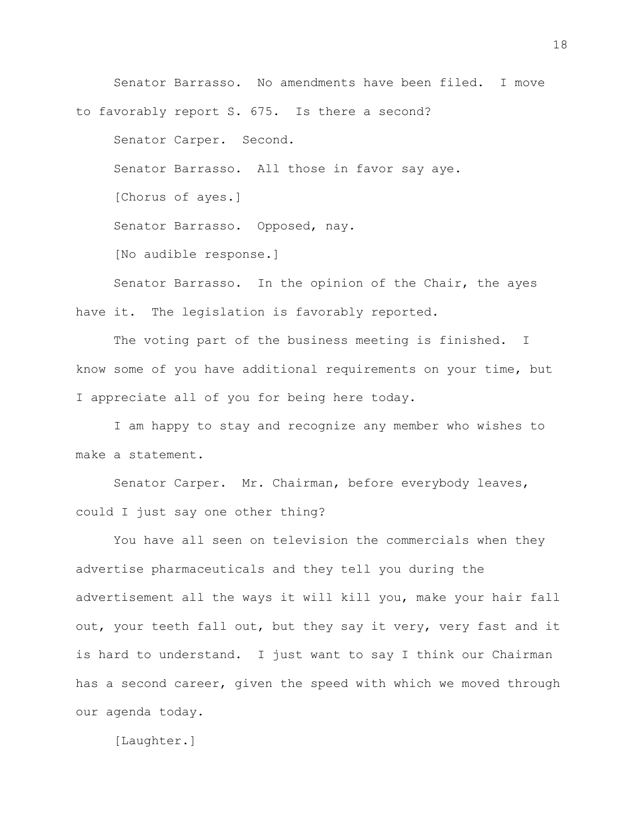Senator Barrasso. No amendments have been filed. I move to favorably report S. 675. Is there a second? Senator Carper. Second. Senator Barrasso. All those in favor say aye. [Chorus of ayes.] Senator Barrasso. Opposed, nay. [No audible response.]

Senator Barrasso. In the opinion of the Chair, the ayes have it. The legislation is favorably reported.

The voting part of the business meeting is finished. I know some of you have additional requirements on your time, but I appreciate all of you for being here today.

I am happy to stay and recognize any member who wishes to make a statement.

Senator Carper. Mr. Chairman, before everybody leaves, could I just say one other thing?

You have all seen on television the commercials when they advertise pharmaceuticals and they tell you during the advertisement all the ways it will kill you, make your hair fall out, your teeth fall out, but they say it very, very fast and it is hard to understand. I just want to say I think our Chairman has a second career, given the speed with which we moved through our agenda today.

[Laughter.]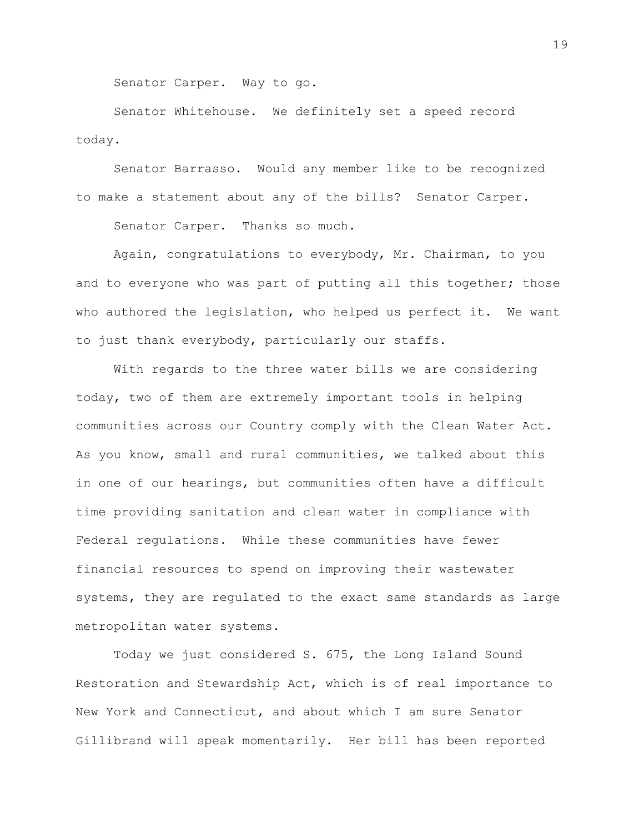Senator Carper. Way to go.

Senator Whitehouse. We definitely set a speed record today.

Senator Barrasso. Would any member like to be recognized to make a statement about any of the bills? Senator Carper.

Senator Carper. Thanks so much.

Again, congratulations to everybody, Mr. Chairman, to you and to everyone who was part of putting all this together; those who authored the legislation, who helped us perfect it. We want to just thank everybody, particularly our staffs.

With regards to the three water bills we are considering today, two of them are extremely important tools in helping communities across our Country comply with the Clean Water Act. As you know, small and rural communities, we talked about this in one of our hearings, but communities often have a difficult time providing sanitation and clean water in compliance with Federal regulations. While these communities have fewer financial resources to spend on improving their wastewater systems, they are regulated to the exact same standards as large metropolitan water systems.

Today we just considered S. 675, the Long Island Sound Restoration and Stewardship Act, which is of real importance to New York and Connecticut, and about which I am sure Senator Gillibrand will speak momentarily. Her bill has been reported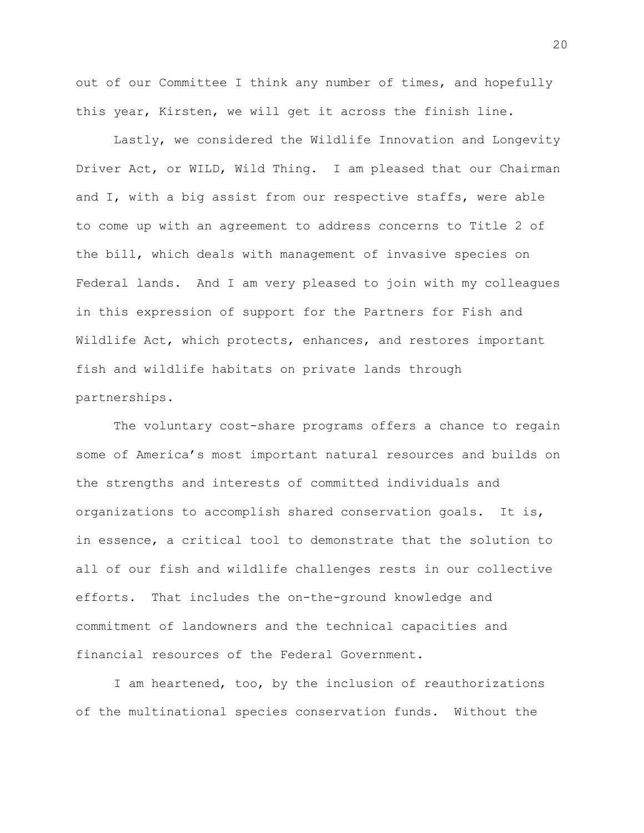out of our Committee I think any number of times, and hopefully this year, Kirsten, we will get it across the finish line.

Lastly, we considered the Wildlife Innovation and Longevity Driver Act, or WILD, Wild Thing. I am pleased that our Chairman and I, with a big assist from our respective staffs, were able to come up with an agreement to address concerns to Title 2 of the bill, which deals with management of invasive species on Federal lands. And I am very pleased to join with my colleagues in this expression of support for the Partners for Fish and Wildlife Act, which protects, enhances, and restores important fish and wildlife habitats on private lands through partnerships.

The voluntary cost-share programs offers a chance to regain some of America's most important natural resources and builds on the strengths and interests of committed individuals and organizations to accomplish shared conservation goals. It is, in essence, a critical tool to demonstrate that the solution to all of our fish and wildlife challenges rests in our collective efforts. That includes the on-the-ground knowledge and commitment of landowners and the technical capacities and financial resources of the Federal Government.

I am heartened, too, by the inclusion of reauthorizations of the multinational species conservation funds. Without the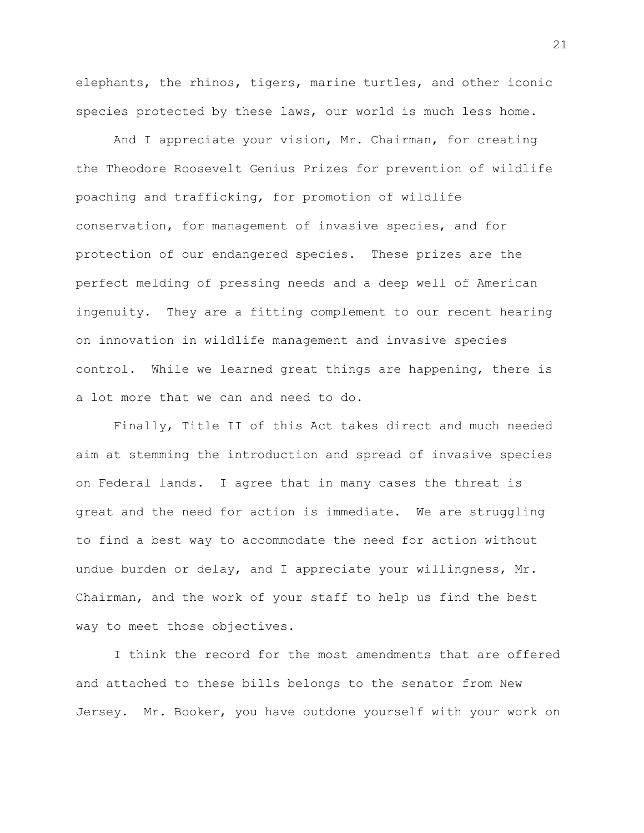elephants, the rhinos, tigers, marine turtles, and other iconic species protected by these laws, our world is much less home.

And I appreciate your vision, Mr. Chairman, for creating the Theodore Roosevelt Genius Prizes for prevention of wildlife poaching and trafficking, for promotion of wildlife conservation, for management of invasive species, and for protection of our endangered species. These prizes are the perfect melding of pressing needs and a deep well of American ingenuity. They are a fitting complement to our recent hearing on innovation in wildlife management and invasive species control. While we learned great things are happening, there is a lot more that we can and need to do.

Finally, Title II of this Act takes direct and much needed aim at stemming the introduction and spread of invasive species on Federal lands. I agree that in many cases the threat is great and the need for action is immediate. We are struggling to find a best way to accommodate the need for action without undue burden or delay, and I appreciate your willingness, Mr. Chairman, and the work of your staff to help us find the best way to meet those objectives.

I think the record for the most amendments that are offered and attached to these bills belongs to the senator from New Jersey. Mr. Booker, you have outdone yourself with your work on

21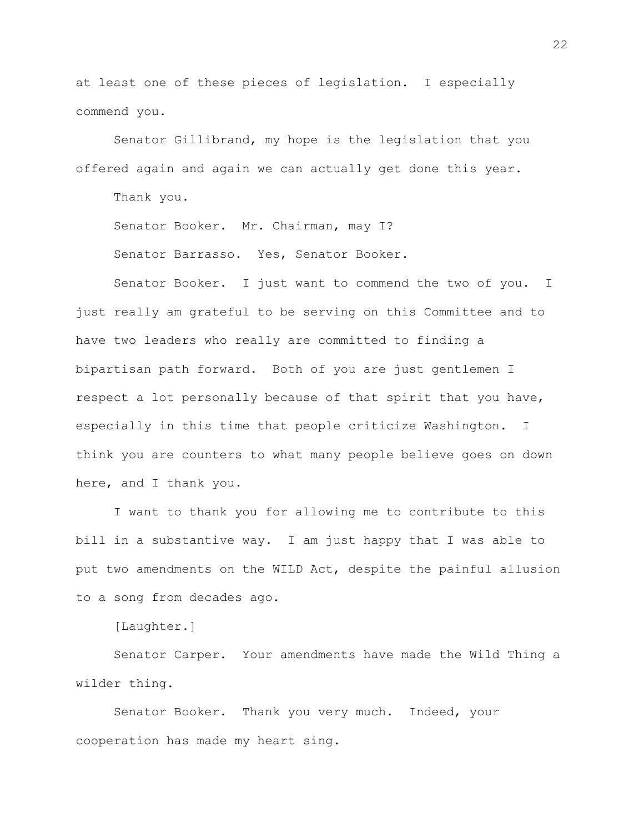at least one of these pieces of legislation. I especially commend you.

Senator Gillibrand, my hope is the legislation that you offered again and again we can actually get done this year.

Thank you.

Senator Booker. Mr. Chairman, may I?

Senator Barrasso. Yes, Senator Booker.

Senator Booker. I just want to commend the two of you. I just really am grateful to be serving on this Committee and to have two leaders who really are committed to finding a bipartisan path forward. Both of you are just gentlemen I respect a lot personally because of that spirit that you have, especially in this time that people criticize Washington. I think you are counters to what many people believe goes on down here, and I thank you.

I want to thank you for allowing me to contribute to this bill in a substantive way. I am just happy that I was able to put two amendments on the WILD Act, despite the painful allusion to a song from decades ago.

[Laughter.]

Senator Carper. Your amendments have made the Wild Thing a wilder thing.

Senator Booker. Thank you very much. Indeed, your cooperation has made my heart sing.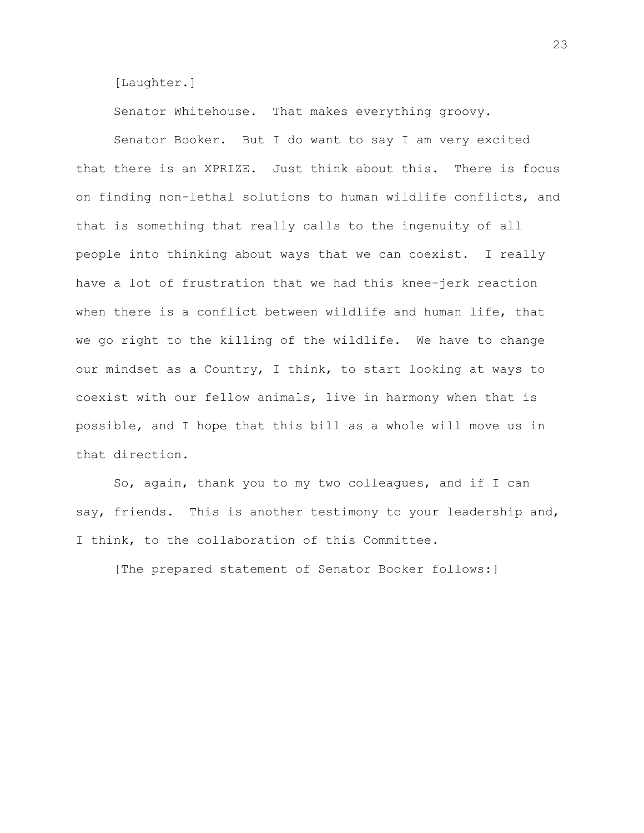[Laughter.]

Senator Whitehouse. That makes everything groovy.

Senator Booker. But I do want to say I am very excited that there is an XPRIZE. Just think about this. There is focus on finding non-lethal solutions to human wildlife conflicts, and that is something that really calls to the ingenuity of all people into thinking about ways that we can coexist. I really have a lot of frustration that we had this knee-jerk reaction when there is a conflict between wildlife and human life, that we go right to the killing of the wildlife. We have to change our mindset as a Country, I think, to start looking at ways to coexist with our fellow animals, live in harmony when that is possible, and I hope that this bill as a whole will move us in that direction.

So, again, thank you to my two colleagues, and if I can say, friends. This is another testimony to your leadership and, I think, to the collaboration of this Committee.

[The prepared statement of Senator Booker follows:]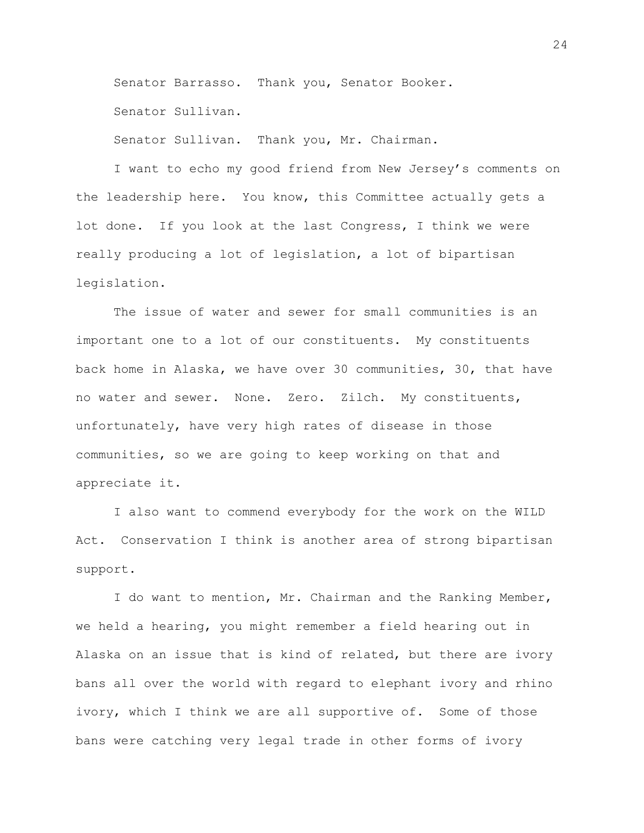Senator Barrasso. Thank you, Senator Booker.

Senator Sullivan.

Senator Sullivan. Thank you, Mr. Chairman.

I want to echo my good friend from New Jersey's comments on the leadership here. You know, this Committee actually gets a lot done. If you look at the last Congress, I think we were really producing a lot of legislation, a lot of bipartisan legislation.

The issue of water and sewer for small communities is an important one to a lot of our constituents. My constituents back home in Alaska, we have over 30 communities, 30, that have no water and sewer. None. Zero. Zilch. My constituents, unfortunately, have very high rates of disease in those communities, so we are going to keep working on that and appreciate it.

I also want to commend everybody for the work on the WILD Act. Conservation I think is another area of strong bipartisan support.

I do want to mention, Mr. Chairman and the Ranking Member, we held a hearing, you might remember a field hearing out in Alaska on an issue that is kind of related, but there are ivory bans all over the world with regard to elephant ivory and rhino ivory, which I think we are all supportive of. Some of those bans were catching very legal trade in other forms of ivory

24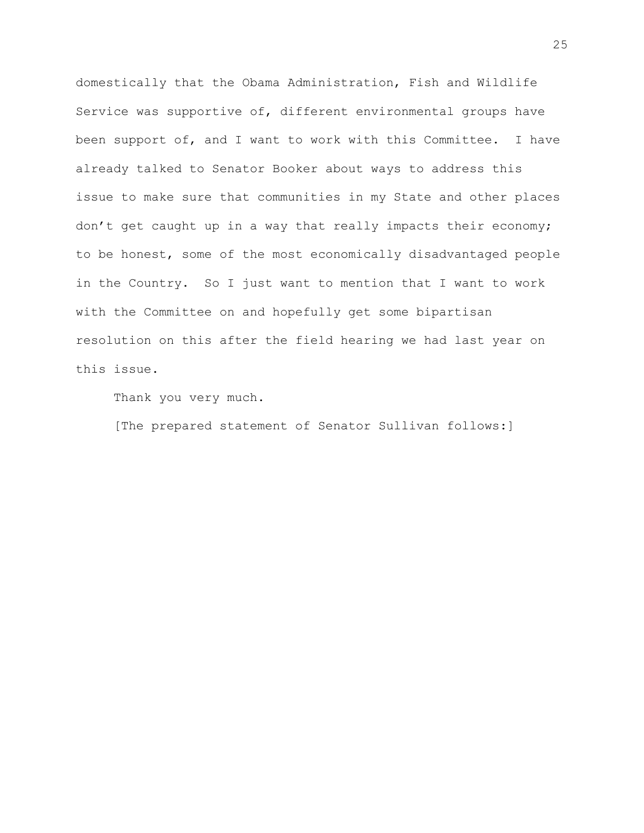domestically that the Obama Administration, Fish and Wildlife Service was supportive of, different environmental groups have been support of, and I want to work with this Committee. I have already talked to Senator Booker about ways to address this issue to make sure that communities in my State and other places don't get caught up in a way that really impacts their economy; to be honest, some of the most economically disadvantaged people in the Country. So I just want to mention that I want to work with the Committee on and hopefully get some bipartisan resolution on this after the field hearing we had last year on this issue.

Thank you very much.

[The prepared statement of Senator Sullivan follows:]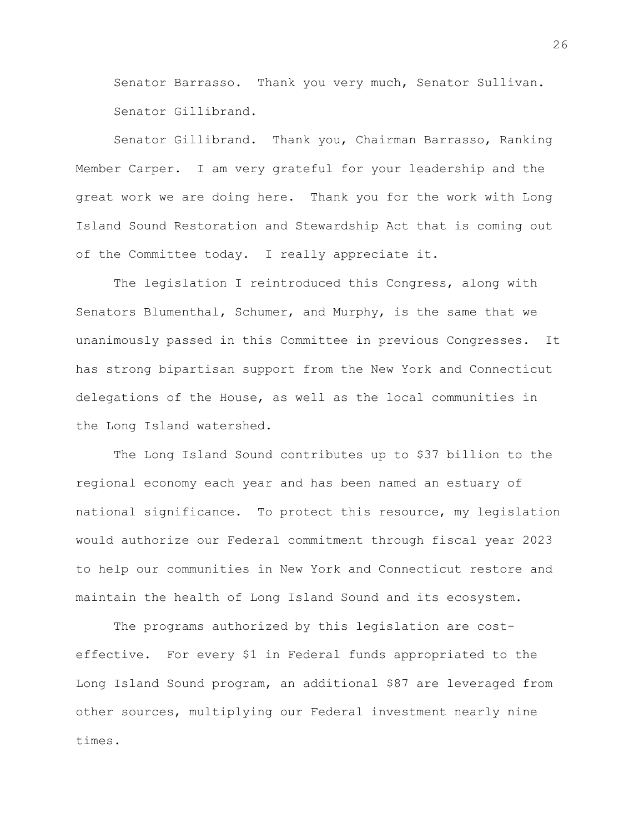Senator Barrasso. Thank you very much, Senator Sullivan. Senator Gillibrand.

Senator Gillibrand. Thank you, Chairman Barrasso, Ranking Member Carper. I am very grateful for your leadership and the great work we are doing here. Thank you for the work with Long Island Sound Restoration and Stewardship Act that is coming out of the Committee today. I really appreciate it.

The legislation I reintroduced this Congress, along with Senators Blumenthal, Schumer, and Murphy, is the same that we unanimously passed in this Committee in previous Congresses. It has strong bipartisan support from the New York and Connecticut delegations of the House, as well as the local communities in the Long Island watershed.

The Long Island Sound contributes up to \$37 billion to the regional economy each year and has been named an estuary of national significance. To protect this resource, my legislation would authorize our Federal commitment through fiscal year 2023 to help our communities in New York and Connecticut restore and maintain the health of Long Island Sound and its ecosystem.

The programs authorized by this legislation are costeffective. For every \$1 in Federal funds appropriated to the Long Island Sound program, an additional \$87 are leveraged from other sources, multiplying our Federal investment nearly nine times.

26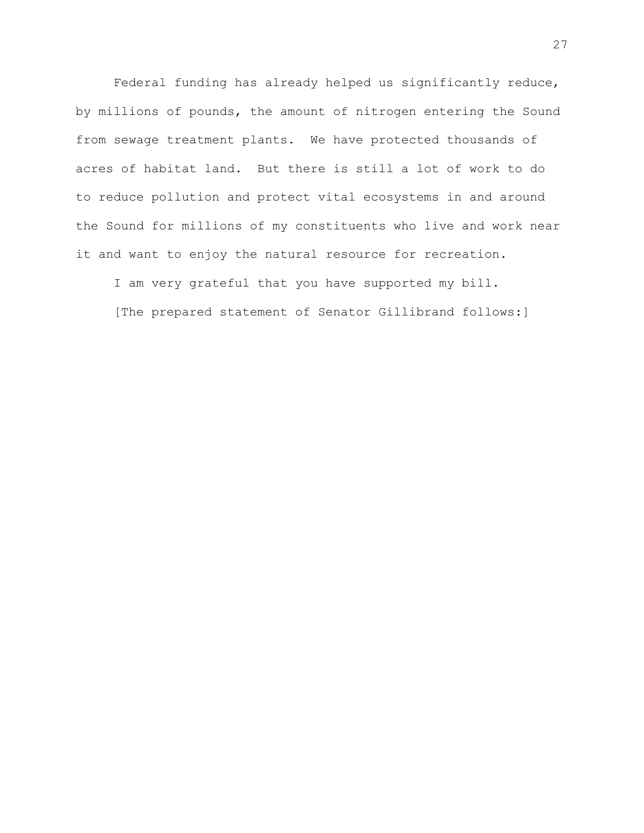Federal funding has already helped us significantly reduce, by millions of pounds, the amount of nitrogen entering the Sound from sewage treatment plants. We have protected thousands of acres of habitat land. But there is still a lot of work to do to reduce pollution and protect vital ecosystems in and around the Sound for millions of my constituents who live and work near it and want to enjoy the natural resource for recreation.

I am very grateful that you have supported my bill.

[The prepared statement of Senator Gillibrand follows:]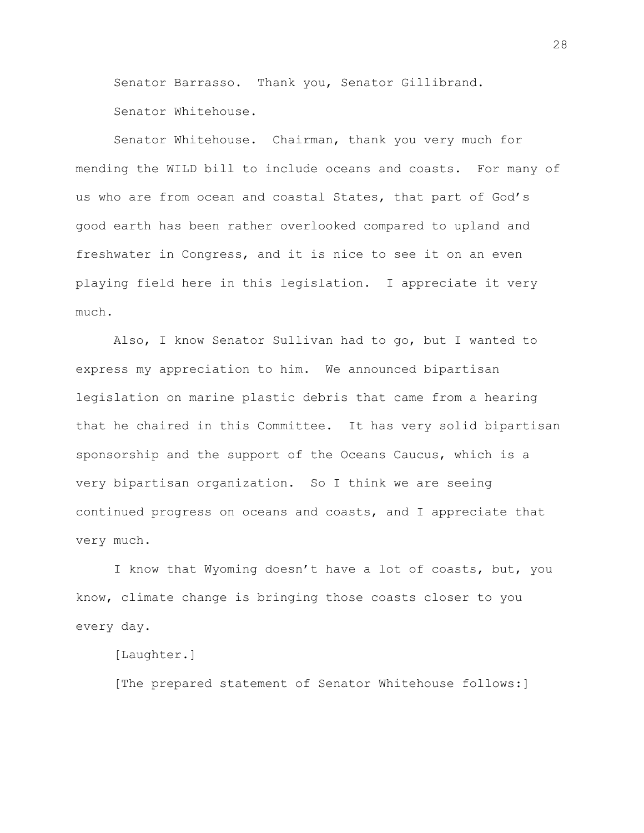Senator Barrasso. Thank you, Senator Gillibrand.

Senator Whitehouse.

Senator Whitehouse. Chairman, thank you very much for mending the WILD bill to include oceans and coasts. For many of us who are from ocean and coastal States, that part of God's good earth has been rather overlooked compared to upland and freshwater in Congress, and it is nice to see it on an even playing field here in this legislation. I appreciate it very much.

Also, I know Senator Sullivan had to go, but I wanted to express my appreciation to him. We announced bipartisan legislation on marine plastic debris that came from a hearing that he chaired in this Committee. It has very solid bipartisan sponsorship and the support of the Oceans Caucus, which is a very bipartisan organization. So I think we are seeing continued progress on oceans and coasts, and I appreciate that very much.

I know that Wyoming doesn't have a lot of coasts, but, you know, climate change is bringing those coasts closer to you every day.

[Laughter.]

[The prepared statement of Senator Whitehouse follows:]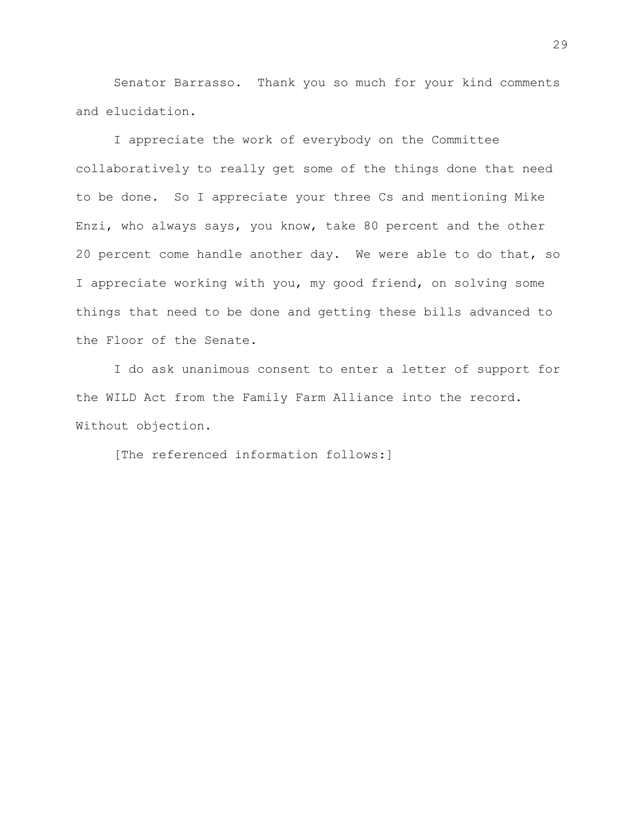Senator Barrasso. Thank you so much for your kind comments and elucidation.

I appreciate the work of everybody on the Committee collaboratively to really get some of the things done that need to be done. So I appreciate your three Cs and mentioning Mike Enzi, who always says, you know, take 80 percent and the other 20 percent come handle another day. We were able to do that, so I appreciate working with you, my good friend, on solving some things that need to be done and getting these bills advanced to the Floor of the Senate.

I do ask unanimous consent to enter a letter of support for the WILD Act from the Family Farm Alliance into the record. Without objection.

[The referenced information follows:]

29